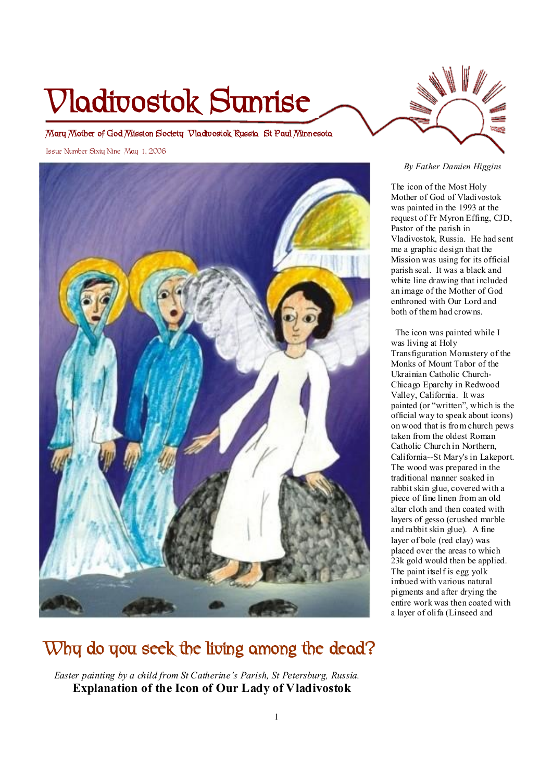# **Vladivostok Sunrise**

**Mary Mother of God Mission Society Vladivostok Russia St Paul Minnesota** 

Issue Number Sixty Nine May 1, 2006



# **Why do you seek the living among the dead?**

 *Easter painting by a child from St Catherine's Parish, St Petersburg, Russia.* **Explanation of the Icon of Our Lady of Vladivostok** 

## *By Father Damien Higgins*

The icon of the Most Holy Mother of God of Vladivostok was painted in the 1993 at the request of Fr Myron Effing, CJD, Pastor of the parish in Vladivostok, Russia. He had sent me a graphic design that the Mission was using for its official parish seal. It was a black and white line drawing that included an image of the Mother of God enthroned with Our Lord and both of them had crowns.

 The icon was painted while I was living at Holy Transfiguration Monastery of the Monks of Mount Tabor of the Ukrainian Catholic Church-Chicago Eparchy in Redwood Valley, California. It was painted (or "written", which is the official way to speak about icons) on wood that is from church pews taken from the oldest Roman Catholic Church in Northern, California--St Mary's in Lakeport. The wood was prepared in the traditional manner soaked in rabbit skin glue, covered with a piece of fine linen from an old altar cloth and then coated with layers of gesso (crushed marble and rabbit skin glue). A fine layer of bole (red clay) was placed over the areas to which 23k gold would then be applied. The paint itself is egg yolk imbued with various natural pigments and after drying the entire work was then coated with a layer of olifa (Linseed and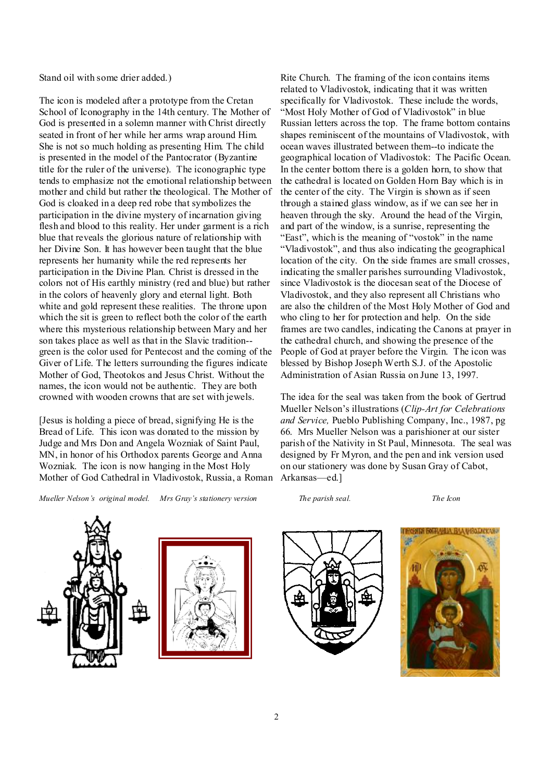Stand oil with some drier added.)

The icon is modeled after a prototype from the Cretan School of Iconography in the 14th century. The Mother of God is presented in a solemn manner with Christ directly seated in front of her while her arms wrap around Him. She is not so much holding as presenting Him. The child is presented in the model of the Pantocrator (Byzantine title for the ruler of the universe). The iconographic type tends to emphasize not the emotional relationship between mother and child but rather the theological. The Mother of God is cloaked in a deep red robe that symbolizes the participation in the divine mystery of incarnation giving flesh and blood to this reality. Her under garment is a rich blue that reveals the glorious nature of relationship with her Divine Son. It has however been taught that the blue represents her humanity while the red represents her participation in the Divine Plan. Christ is dressed in the colors not of His earthly ministry (red and blue) but rather in the colors of heavenly glory and eternal light. Both white and gold represent these realities. The throne upon which the sit is green to reflect both the color of the earth where this mysterious relationship between Mary and her son takes place as well as that in the Slavic tradition- green is the color used for Pentecost and the coming of the Giver of Life. The letters surrounding the figures indicate Mother of God, Theotokos and Jesus Christ. Without the names, the icon would not be authentic. They are both crowned with wooden crowns that are set with jewels.

[Jesus is holding a piece of bread, signifying He is the Bread of Life. This icon was donated to the mission by Judge and Mrs Don and Angela Wozniak of Saint Paul, MN, in honor of his Orthodox parents George and Anna Wozniak. The icon is now hanging in the Most Holy Mother of God Cathedral in Vladivostok, Russia, a Roman

*Mueller Nelson's original model. Mrs Gray's stationery version The parish seal. The Icon* 

Rite Church. The framing of the icon contains items related to Vladivostok, indicating that it was written specifically for Vladivostok. These include the words, "Most Holy Mother of God of Vladivostok" in blue Russian letters across the top. The frame bottom contains shapes reminiscent of the mountains of Vladivostok, with ocean waves illustrated between them--to indicate the geographical location of Vladivostok: The Pacific Ocean. In the center bottom there is a golden horn, to show that the cathedral is located on Golden Horn Bay which is in the center of the city. The Virgin is shown as if seen through a stained glass window, as if we can see her in heaven through the sky. Around the head of the Virgin, and part of the window, is a sunrise, representing the "East", which is the meaning of "vostok" in the name "Vladivostok", and thus also indicating the geographical location of the city. On the side frames are small crosses, indicating the smaller parishes surrounding Vladivostok, since Vladivostok is the diocesan seat of the Diocese of Vladivostok, and they also represent all Christians who are also the children of the Most Holy Mother of God and who cling to her for protection and help. On the side frames are two candles, indicating the Canons at prayer in the cathedral church, and showing the presence of the People of God at prayer before the Virgin. The icon was blessed by Bishop Joseph Werth S.J. of the Apostolic Administration of Asian Russia on June 13, 1997.

The idea for the seal was taken from the book of Gertrud Mueller Nelson's illustrations (*Clip-Art for Celebrations and Service,* Pueblo Publishing Company, Inc., 1987, pg 66. Mrs Mueller Nelson was a parishioner at our sister parish of the Nativity in St Paul, Minnesota. The seal was designed by Fr Myron, and the pen and ink version used on our stationery was done by Susan Gray of Cabot, Arkansas—ed.]







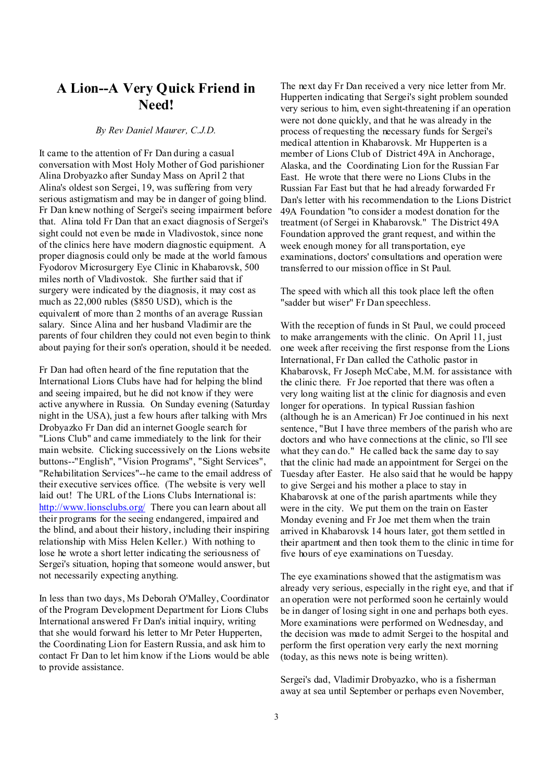## **A Lion--A Very Quick Friend in Need!**

### *By Rev Daniel Maurer, C.J.D.*

It came to the attention of Fr Dan during a casual conversation with Most Holy Mother of God parishioner Alina Drobyazko after Sunday Mass on April 2 that Alina's oldest son Sergei, 19, was suffering from very serious astigmatism and may be in danger of going blind. Fr Dan knew nothing of Sergei's seeing impairment before that. Alina told Fr Dan that an exact diagnosis of Sergei's sight could not even be made in Vladivostok, since none of the clinics here have modern diagnostic equipment. A proper diagnosis could only be made at the world famous Fyodorov Microsurgery Eye Clinic in Khabarovsk, 500 miles north of Vladivostok. She further said that if surgery were indicated by the diagnosis, it may cost as much as 22,000 rubles (\$850 USD), which is the equivalent of more than 2 months of an average Russian salary. Since Alina and her husband Vladimir are the parents of four children they could not even begin to think about paying for their son's operation, should it be needed.

Fr Dan had often heard of the fine reputation that the International Lions Clubs have had for helping the blind and seeing impaired, but he did not know if they were active anywhere in Russia. On Sunday evening (Saturday night in the USA), just a few hours after talking with Mrs Drobyazko Fr Dan did an internet Google search for "Lions Club" and came immediately to the link for their main website. Clicking successively on the Lions website buttons--"English", "Vision Programs", "Sight Services", "Rehabilitation Services"--he came to the email address of their executive services office. (The website is very well laid out! The URL of the Lions Clubs International is: <http://www.lionsclubs.org/> There you can learn about all their programs for the seeing endangered, impaired and the blind, and about their history, including their inspiring relationship with Miss Helen Keller.) With nothing to lose he wrote a short letter indicating the seriousness of Sergei's situation, hoping that someone would answer, but not necessarily expecting anything.

In less than two days, Ms Deborah O'Malley, Coordinator of the Program Development Department for Lions Clubs International answered Fr Dan's initial inquiry, writing that she would forward his letter to Mr Peter Hupperten, the Coordinating Lion for Eastern Russia, and ask him to contact Fr Dan to let him know if the Lions would be able to provide assistance.

The next day Fr Dan received a very nice letter from Mr. Hupperten indicating that Sergei's sight problem sounded very serious to him, even sight-threatening if an operation were not done quickly, and that he was already in the process of requesting the necessary funds for Sergei's medical attention in Khabarovsk. Mr Hupperten is a member of Lions Club of District 49A in Anchorage, Alaska, and the Coordinating Lion for the Russian Far East. He wrote that there were no Lions Clubs in the Russian Far East but that he had already forwarded Fr Dan's letter with his recommendation to the Lions District 49A Foundation "to consider a modest donation for the treatment (of Sergei in Khabarovsk." The District 49A Foundation approved the grant request, and within the week enough money for all transportation, eye examinations, doctors' consultations and operation were transferred to our mission office in St Paul.

The speed with which all this took place left the often "sadder but wiser" Fr Dan speechless.

With the reception of funds in St Paul, we could proceed to make arrangements with the clinic. On April 11, just one week after receiving the first response from the Lions International, Fr Dan called the Catholic pastor in Khabarovsk, Fr Joseph McCabe, M.M. for assistance with the clinic there. Fr Joe reported that there was often a very long waiting list at the clinic for diagnosis and even longer for operations. In typical Russian fashion (although he is an American) Fr Joe continued in his next sentence, "But I have three members of the parish who are doctors and who have connections at the clinic, so I'll see what they can do." He called back the same day to say that the clinic had made an appointment for Sergei on the Tuesday after Easter. He also said that he would be happy to give Sergei and his mother a place to stay in Khabarovsk at one of the parish apartments while they were in the city. We put them on the train on Easter Monday evening and Fr Joe met them when the train arrived in Khabarovsk 14 hours later, got them settled in their apartment and then took them to the clinic in time for five hours of eye examinations on Tuesday.

The eye examinations showed that the astigmatism was already very serious, especially in the right eye, and that if an operation were not performed soon he certainly would be in danger of losing sight in one and perhaps both eyes. More examinations were performed on Wednesday, and the decision was made to admit Sergei to the hospital and perform the first operation very early the next morning (today, as this news note is being written).

Sergei's dad, Vladimir Drobyazko, who is a fisherman away at sea until September or perhaps even November,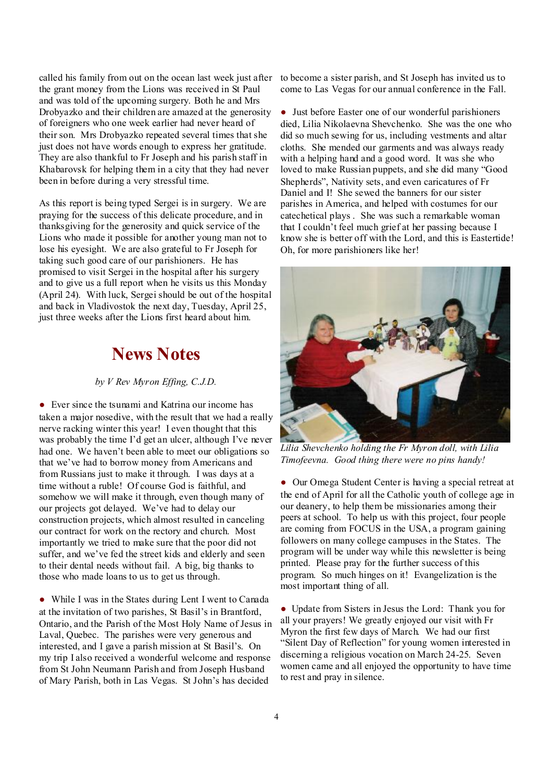the grant money from the Lions was received in St Paul and was told of the upcoming surgery. Both he and Mrs Drobyazko and their children are amazed at the generosity of foreigners who one week earlier had never heard of their son. Mrs Drobyazko repeated several times that she just does not have words enough to express her gratitude. They are also thankful to Fr Joseph and his parish staff in Khabarovsk for helping them in a city that they had never been in before during a very stressful time.

As this report is being typed Sergei is in surgery. We are praying for the success of this delicate procedure, and in thanksgiving for the generosity and quick service of the Lions who made it possible for another young man not to lose his eyesight. We are also grateful to Fr Joseph for taking such good care of our parishioners. He has promised to visit Sergei in the hospital after his surgery and to give us a full report when he visits us this Monday (April 24). With luck, Sergei should be out of the hospital and back in Vladivostok the next day, Tuesday, April 25, just three weeks after the Lions first heard about him.

# **News Notes**

## *by V Rev Myron Effing, C.J.D.*

● Ever since the tsunami and Katrina our income has taken a major nosedive, with the result that we had a really nerve racking winter this year! I even thought that this was probably the time I'd get an ulcer, although I've never had one. We haven't been able to meet our obligations so that we've had to borrow money from Americans and from Russians just to make it through. I was days at a time without a ruble! Of course God is faithful, and somehow we will make it through, even though many of our projects got delayed. We've had to delay our construction projects, which almost resulted in canceling our contract for work on the rectory and church. Most importantly we tried to make sure that the poor did not suffer, and we've fed the street kids and elderly and seen to their dental needs without fail. A big, big thanks to those who made loans to us to get us through.

● While I was in the States during Lent I went to Canada at the invitation of two parishes, St Basil's in Brantford, Ontario, and the Parish of the Most Holy Name of Jesus in Laval, Quebec. The parishes were very generous and interested, and I gave a parish mission at St Basil's. On my trip I also received a wonderful welcome and response from St John Neumann Parish and from Joseph Husband of Mary Parish, both in Las Vegas. St John's has decided

called his family from out on the ocean last week just after to become a sister parish, and St Joseph has invited us to come to Las Vegas for our annual conference in the Fall.

> ● Just before Easter one of our wonderful parishioners died, Lilia Nikolaevna Shevchenko. She was the one who did so much sewing for us, including vestments and altar cloths. She mended our garments and was always ready with a helping hand and a good word. It was she who loved to make Russian puppets, and she did many "Good Shepherds", Nativity sets, and even caricatures of Fr Daniel and I! She sewed the banners for our sister parishes in America, and helped with costumes for our catechetical plays . She was such a remarkable woman that I couldn't feel much grief at her passing because I know she is better off with the Lord, and this is Eastertide! Oh, for more parishioners like her!



*Lilia Shevchenko holding the Fr Myron doll, with Lilia Timofeevna. Good thing there were no pins handy!* 

● Our Omega Student Center is having a special retreat at the end of April for all the Catholic youth of college age in our deanery, to help them be missionaries among their peers at school. To help us with this project, four people are coming from FOCUS in the USA, a program gaining followers on many college campuses in the States. The program will be under way while this newsletter is being printed. Please pray for the further success of this program. So much hinges on it! Evangelization is the most important thing of all.

● Update from Sisters in Jesus the Lord: Thank you for all your prayers! We greatly enjoyed our visit with Fr Myron the first few days of March. We had our first "Silent Day of Reflection" for young women interested in discerning a religious vocation on March 24-25. Seven women came and all enjoyed the opportunity to have time to rest and pray in silence.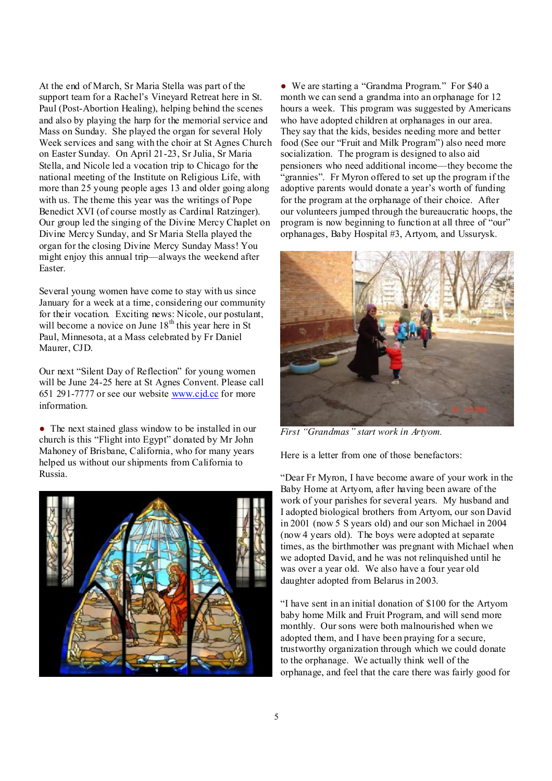At the end of March, Sr Maria Stella was part of the support team for a Rachel's Vineyard Retreat here in St. Paul (Post-Abortion Healing), helping behind the scenes and also by playing the harp for the memorial service and Mass on Sunday. She played the organ for several Holy Week services and sang with the choir at St Agnes Church on Easter Sunday. On April 21-23, Sr Julia, Sr Maria Stella, and Nicole led a vocation trip to Chicago for the national meeting of the Institute on Religious Life, with more than 25 young people ages 13 and older going along with us. The theme this year was the writings of Pope Benedict XVI (of course mostly as Cardinal Ratzinger). Our group led the singing of the Divine Mercy Chaplet on Divine Mercy Sunday, and Sr Maria Stella played the organ for the closing Divine Mercy Sunday Mass! You might enjoy this annual trip—always the weekend after Easter.

Several young women have come to stay with us since January for a week at a time, considering our community for their vocation. Exciting news: Nicole, our postulant, will become a novice on June 18<sup>th</sup> this year here in St Paul, Minnesota, at a Mass celebrated by Fr Daniel Maurer, CJD.

Our next "Silent Day of Reflection" for young women will be June 24-25 here at St Agnes Convent. Please call 651 291-7777 or see our website [www.cjd.cc](http://www.cjd.cc) for more information.

● The next stained glass window to be installed in our church is this "Flight into Egypt" donated by Mr John Mahoney of Brisbane, California, who for many years helped us without our shipments from California to Russia.



● We are starting a "Grandma Program." For \$40 a month we can send a grandma into an orphanage for 12 hours a week. This program was suggested by Americans who have adopted children at orphanages in our area. They say that the kids, besides needing more and better food (See our "Fruit and Milk Program") also need more socialization. The program is designed to also aid pensioners who need additional income—they become the "grannies". Fr Myron offered to set up the program if the adoptive parents would donate a year's worth of funding for the program at the orphanage of their choice. After our volunteers jumped through the bureaucratic hoops, the program is now beginning to function at all three of "our" orphanages, Baby Hospital #3, Artyom, and Ussurysk.



*First "Grandmas" start work in Artyom.* 

Here is a letter from one of those benefactors:

"Dear Fr Myron, I have become aware of your work in the Baby Home at Artyom, after having been aware of the work of your parishes for several years. My husband and I adopted biological brothers from Artyom, our son David in 2001 (now 5 Ѕ years old) and our son Michael in 2004 (now 4 years old). The boys were adopted at separate times, as the birthmother was pregnant with Michael when we adopted David, and he was not relinquished until he was over a year old. We also have a four year old daughter adopted from Belarus in 2003.

"I have sent in an initial donation of \$100 for the Artyom baby home Milk and Fruit Program, and will send more monthly. Our sons were both malnourished when we adopted them, and I have been praying for a secure, trustworthy organization through which we could donate to the orphanage. We actually think well of the orphanage, and feel that the care there was fairly good for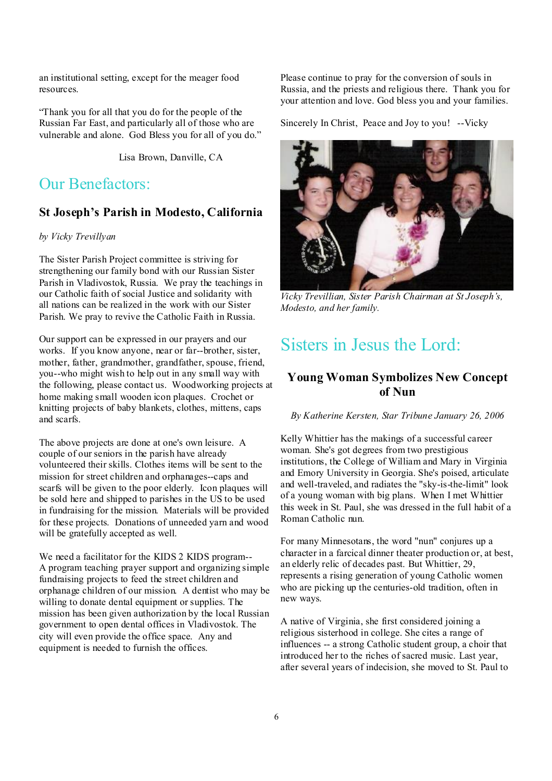an institutional setting, except for the meager food resources.

"Thank you for all that you do for the people of the Russian Far East, and particularly all of those who are vulnerable and alone. God Bless you for all of you do."

Lisa Brown, Danville, CA

## Our Benefactors:

## **St Joseph's Parish in Modesto, California**

## *by Vicky Trevillyan*

The Sister Parish Project committee is striving for strengthening our family bond with our Russian Sister Parish in Vladivostok, Russia. We pray the teachings in our Catholic faith of social Justice and solidarity with all nations can be realized in the work with our Sister Parish. We pray to revive the Catholic Faith in Russia.

Our support can be expressed in our prayers and our works. If you know anyone, near or far--brother, sister, mother, father, grandmother, grandfather, spouse, friend, you--who might wish to help out in any small way with the following, please contact us. Woodworking projects at home making small wooden icon plaques. Crochet or knitting projects of baby blankets, clothes, mittens, caps and scarfs.

The above projects are done at one's own leisure. A couple of our seniors in the parish have already volunteered their skills. Clothes items will be sent to the mission for street children and orphanages--caps and scarfs will be given to the poor elderly. Icon plaques will be sold here and shipped to parishes in the US to be used in fundraising for the mission. Materials will be provided for these projects. Donations of unneeded yarn and wood will be gratefully accepted as well.

We need a facilitator for the KIDS 2 KIDS program--A program teaching prayer support and organizing simple fundraising projects to feed the street children and orphanage children of our mission. A dentist who may be willing to donate dental equipment or supplies. The mission has been given authorization by the local Russian government to open dental offices in Vladivostok. The city will even provide the office space. Any and equipment is needed to furnish the offices.

Please continue to pray for the conversion of souls in Russia, and the priests and religious there. Thank you for your attention and love. God bless you and your families.

Sincerely In Christ, Peace and Joy to you! --Vicky



*Vicky Trevillian, Sister Parish Chairman at St Joseph's, Modesto, and her family.* 

# Sisters in Jesus the Lord:

## **Young Woman Symbolizes New Concept of Nun**

*By Katherine Kersten, Star Tribune January 26, 2006* 

Kelly Whittier has the makings of a successful career woman. She's got degrees from two prestigious institutions, the College of William and Mary in Virginia and Emory University in Georgia. She's poised, articulate and well-traveled, and radiates the "sky-is-the-limit" look of a young woman with big plans. When I met Whittier this week in St. Paul, she was dressed in the full habit of a Roman Catholic nun.

For many Minnesotans, the word "nun" conjures up a character in a farcical dinner theater production or, at best, an elderly relic of decades past. But Whittier, 29, represents a rising generation of young Catholic women who are picking up the centuries-old tradition, often in new ways.

A native of Virginia, she first considered joining a religious sisterhood in college. She cites a range of influences -- a strong Catholic student group, a choir that introduced her to the riches of sacred music. Last year, after several years of indecision, she moved to St. Paul to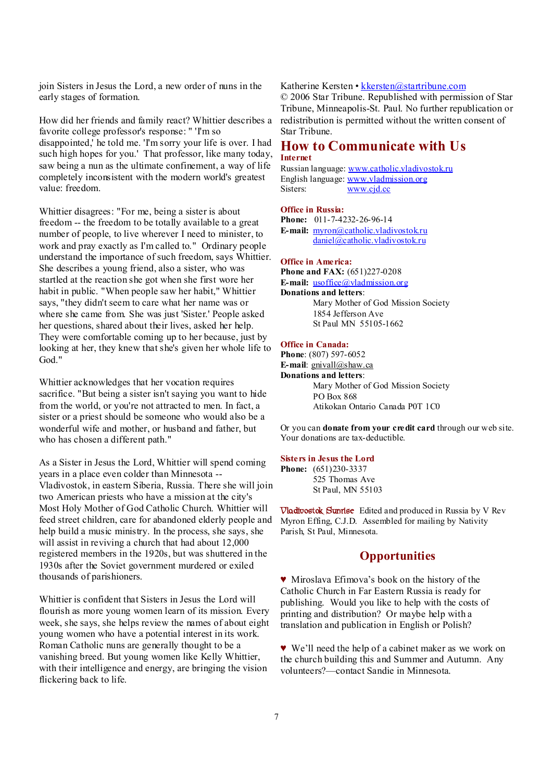join Sisters in Jesus the Lord, a new order of nuns in the early stages of formation.

How did her friends and family react? Whittier describes a favorite college professor's response: " 'I'm so disappointed,' he told me. 'I'm sorry your life is over. I had such high hopes for you.' That professor, like many today, saw being a nun as the ultimate confinement, a way of life completely inconsistent with the modern world's greatest value: freedom.

Whittier disagrees: "For me, being a sister is about freedom -- the freedom to be totally available to a great number of people, to live wherever I need to minister, to work and pray exactly as I'm called to." Ordinary people understand the importance of such freedom, says Whittier. She describes a young friend, also a sister, who was startled at the reaction she got when she first wore her habit in public. "When people saw her habit," Whittier says, "they didn't seem to care what her name was or where she came from. She was just 'Sister.' People asked her questions, shared about their lives, asked her help. They were comfortable coming up to her because, just by looking at her, they knew that she's given her whole life to God."

Whittier acknowledges that her vocation requires sacrifice. "But being a sister isn't saying you want to hide from the world, or you're not attracted to men. In fact, a sister or a priest should be someone who would also be a wonderful wife and mother, or husband and father, but who has chosen a different path."

As a Sister in Jesus the Lord, Whittier will spend coming years in a place even colder than Minnesota -- Vladivostok, in eastern Siberia, Russia. There she will join two American priests who have a mission at the city's Most Holy Mother of God Catholic Church. Whittier will feed street children, care for abandoned elderly people and help build a music ministry. In the process, she says, she will assist in reviving a church that had about 12,000 registered members in the 1920s, but was shuttered in the 1930s after the Soviet government murdered or exiled thousands of parishioners.

Whittier is confident that Sisters in Jesus the Lord will flourish as more young women learn of its mission. Every week, she says, she helps review the names of about eight young women who have a potential interest in its work. Roman Catholic nuns are generally thought to be a vanishing breed. But young women like Kelly Whittier, with their intelligence and energy, are bringing the vision flickering back to life.

### Katherine Kersten • [kkersten@startribune.com](mailto:kkersten@startribune.com)

© 2006 Star Tribune. Republished with permission of Star Tribune, Minneapolis-St. Paul. No further republication or redistribution is permitted without the written consent of Star Tribune.

## **How to Communicate with Us Internet**

Russian language: [www.catholic.vladivostok.ru](http://www.catholic.vladivostok.ru) English language: [www.vladmission.org](http://www.vladmission.org) Sisters: [www.cjd.cc](http://www.cjd.cc)

#### **Office in Russia:**

**Phone:** 011-7-4232-26-96-14 **E-mail:** [myron@catholic.vladivostok.ru](mailto:myron@catholic.vladivostok.ru) [daniel@catholic.vladivostok.ru](mailto:daniel@catholic.vladivostok.ru)

## **Office in America:**

**Phone and FAX:** (651)227-0208 **E-mail:** <u>usoffice</u>@vladmission.org **Donations and letters**: Mary Mother of God Mission Society 1854 Jefferson Ave St Paul MN 55105-1662

#### **Office in Canada:**

**Phone**: (807) 597-6052 **E-mail**: [gnivall@shaw.ca](mailto:gnivall@shaw.ca) **Donations and letters**: Mary Mother of God Mission Society PO Box 868 Atikokan Ontario Canada P0T 1C0

Or you can **donate from your credit card** through our web site. Your donations are tax-deductible.

#### **Sisters in Jesus the Lord**

**Phone:** (651)230-3337 525 Thomas Ave St Paul, MN 55103

**Vladivostok Sunrise** Edited and produced in Russia by V Rev Myron Effing, C.J.D. Assembled for mailing by Nativity Parish, St Paul, Minnesota.

## **Opportunities**

♥ Miroslava Efimova's book on the history of the Catholic Church in Far Eastern Russia is ready for publishing. Would you like to help with the costs of printing and distribution? Or maybe help with a translation and publication in English or Polish?

♥ We'll need the help of a cabinet maker as we work on the church building this and Summer and Autumn. Any volunteers?—contact Sandie in Minnesota.